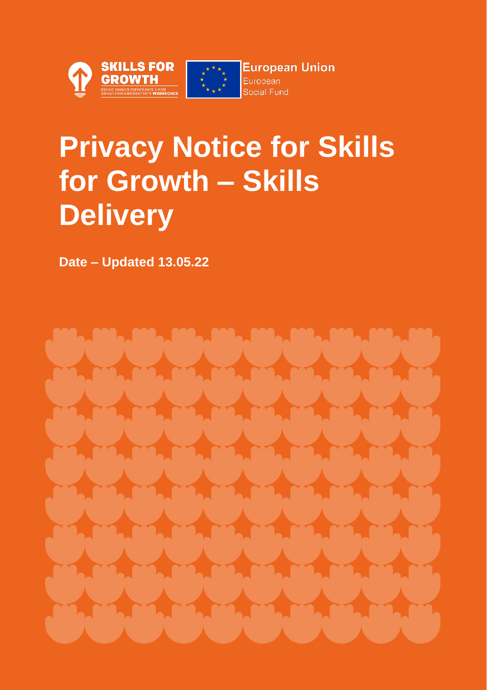



**European Union** European Social Fund

# **Privacy Notice for Skills for Growth – Skills Delivery**

**Date – Updated 13.05.22**

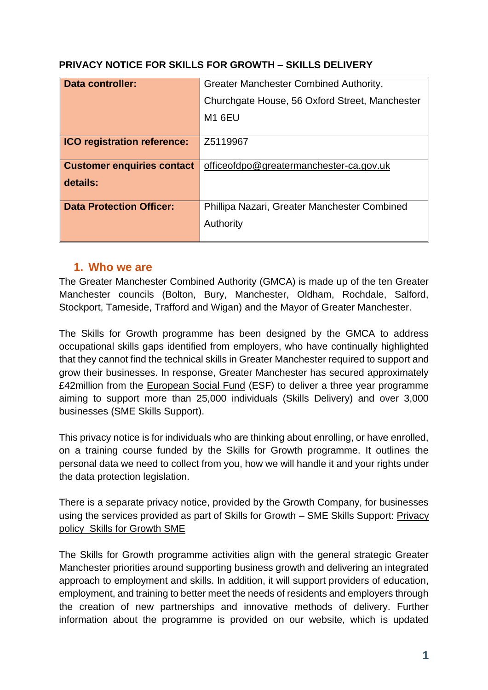| Data controller:                   | Greater Manchester Combined Authority,         |
|------------------------------------|------------------------------------------------|
|                                    | Churchgate House, 56 Oxford Street, Manchester |
|                                    | <b>M1 6EU</b>                                  |
|                                    |                                                |
| <b>ICO registration reference:</b> | Z5119967                                       |
|                                    |                                                |
| <b>Customer enquiries contact</b>  | officeofdpo@greatermanchester-ca.gov.uk        |
| details:                           |                                                |
|                                    |                                                |
| <b>Data Protection Officer:</b>    | Phillipa Nazari, Greater Manchester Combined   |
|                                    |                                                |
|                                    | Authority                                      |
|                                    |                                                |

#### **PRIVACY NOTICE FOR SKILLS FOR GROWTH – SKILLS DELIVERY**

#### **1. Who we are**

The Greater Manchester Combined Authority (GMCA) is made up of the ten Greater Manchester councils (Bolton, Bury, Manchester, Oldham, Rochdale, Salford, Stockport, Tameside, Trafford and Wigan) and the Mayor of Greater Manchester.

The Skills for Growth programme has been designed by the GMCA to address occupational skills gaps identified from employers, who have continually highlighted that they cannot find the technical skills in Greater Manchester required to support and grow their businesses. In response, Greater Manchester has secured approximately £42million from the [European Social Fund](https://www.gov.uk/government/collections/sfa-european-social-fund) (ESF) to deliver a three year programme aiming to support more than 25,000 individuals (Skills Delivery) and over 3,000 businesses (SME Skills Support).

This privacy notice is for individuals who are thinking about enrolling, or have enrolled, on a training course funded by the Skills for Growth programme. It outlines the personal data we need to collect from you, how we will handle it and your rights under the data protection legislation.

There is a separate privacy notice, provided by the Growth Company, for businesses using the services provided as part of Skills for Growth – SME Skills Support: [Privacy](https://tgc-skillsforgrowth-prod.azurewebsites.net/privacy-policy-1/)  [policy Skills for Growth SME](https://tgc-skillsforgrowth-prod.azurewebsites.net/privacy-policy-1/)

The Skills for Growth programme activities align with the general strategic Greater Manchester priorities around supporting business growth and delivering an integrated approach to employment and skills. In addition, it will support providers of education, employment, and training to better meet the needs of residents and employers through the creation of new partnerships and innovative methods of delivery. Further information about the programme is provided on our website, which is updated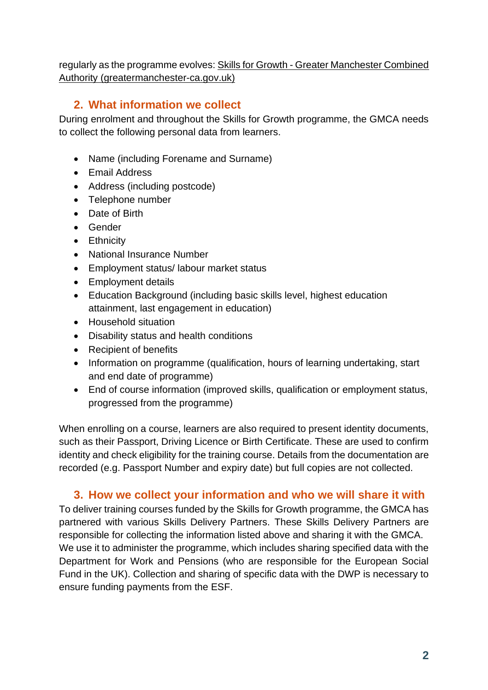regularly as the programme evolves: Skills for Growth - [Greater Manchester Combined](https://greatermanchester-ca.gov.uk/what-we-do/work-and-skills/skills-for-growth/)  [Authority \(greatermanchester-ca.gov.uk\)](https://greatermanchester-ca.gov.uk/what-we-do/work-and-skills/skills-for-growth/)

## **2. What information we collect**

During enrolment and throughout the Skills for Growth programme, the GMCA needs to collect the following personal data from learners.

- Name (including Forename and Surname)
- Email Address
- Address (including postcode)
- Telephone number
- Date of Birth
- Gender
- Ethnicity
- National Insurance Number
- Employment status/ labour market status
- Employment details
- Education Background (including basic skills level, highest education attainment, last engagement in education)
- Household situation
- Disability status and health conditions
- Recipient of benefits
- Information on programme (qualification, hours of learning undertaking, start and end date of programme)
- End of course information (improved skills, qualification or employment status, progressed from the programme)

When enrolling on a course, learners are also required to present identity documents, such as their Passport, Driving Licence or Birth Certificate. These are used to confirm identity and check eligibility for the training course. Details from the documentation are recorded (e.g. Passport Number and expiry date) but full copies are not collected.

## **3. How we collect your information and who we will share it with**

To deliver training courses funded by the Skills for Growth programme, the GMCA has partnered with various Skills Delivery Partners. These Skills Delivery Partners are responsible for collecting the information listed above and sharing it with the GMCA. We use it to administer the programme, which includes sharing specified data with the Department for Work and Pensions (who are responsible for the European Social Fund in the UK). Collection and sharing of specific data with the DWP is necessary to ensure funding payments from the ESF.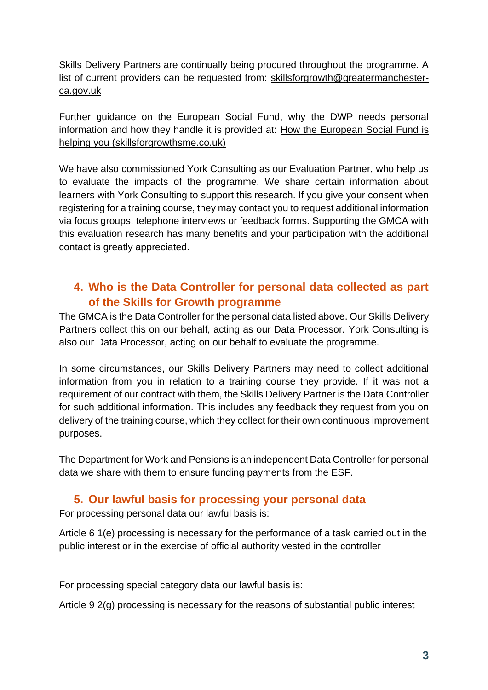Skills Delivery Partners are continually being procured throughout the programme. A list of current providers can be requested from: [skillsforgrowth@greatermanchester](mailto:skillsforgrowth@greatermanchester-ca.gov.uk)[ca.gov.uk](mailto:skillsforgrowth@greatermanchester-ca.gov.uk)

Further guidance on the European Social Fund, why the DWP needs personal information and how they handle it is provided at: [How the European Social Fund is](https://www.skillsforgrowthsme.co.uk/media/1157/how-the-european-social-fund-is-helping-you-esf-2020-0820.pdf)  [helping you \(skillsforgrowthsme.co.uk\)](https://www.skillsforgrowthsme.co.uk/media/1157/how-the-european-social-fund-is-helping-you-esf-2020-0820.pdf)

We have also commissioned York Consulting as our Evaluation Partner, who help us to evaluate the impacts of the programme. We share certain information about learners with York Consulting to support this research. If you give your consent when registering for a training course, they may contact you to request additional information via focus groups, telephone interviews or feedback forms. Supporting the GMCA with this evaluation research has many benefits and your participation with the additional contact is greatly appreciated.

# **4. Who is the Data Controller for personal data collected as part of the Skills for Growth programme**

The GMCA is the Data Controller for the personal data listed above. Our Skills Delivery Partners collect this on our behalf, acting as our Data Processor. York Consulting is also our Data Processor, acting on our behalf to evaluate the programme.

In some circumstances, our Skills Delivery Partners may need to collect additional information from you in relation to a training course they provide. If it was not a requirement of our contract with them, the Skills Delivery Partner is the Data Controller for such additional information. This includes any feedback they request from you on delivery of the training course, which they collect for their own continuous improvement purposes.

The Department for Work and Pensions is an independent Data Controller for personal data we share with them to ensure funding payments from the ESF.

## **5. Our lawful basis for processing your personal data**

For processing personal data our lawful basis is:

Article 6 1(e) processing is necessary for the performance of a task carried out in the public interest or in the exercise of official authority vested in the controller

For processing special category data our lawful basis is:

Article 9 2(g) processing is necessary for the reasons of substantial public interest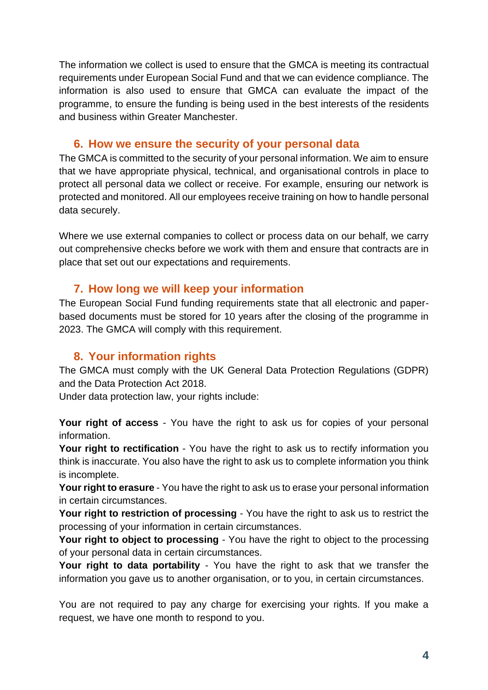The information we collect is used to ensure that the GMCA is meeting its contractual requirements under European Social Fund and that we can evidence compliance. The information is also used to ensure that GMCA can evaluate the impact of the programme, to ensure the funding is being used in the best interests of the residents and business within Greater Manchester.

## **6. How we ensure the security of your personal data**

The GMCA is committed to the security of your personal information. We aim to ensure that we have appropriate physical, technical, and organisational controls in place to protect all personal data we collect or receive. For example, ensuring our network is protected and monitored. All our employees receive training on how to handle personal data securely.

Where we use external companies to collect or process data on our behalf, we carry out comprehensive checks before we work with them and ensure that contracts are in place that set out our expectations and requirements.

#### **7. How long we will keep your information**

The European Social Fund funding requirements state that all electronic and paperbased documents must be stored for 10 years after the closing of the programme in 2023. The GMCA will comply with this requirement.

# **8. Your information rights**

The GMCA must comply with the UK General Data Protection Regulations (GDPR) and the Data Protection Act 2018.

Under data protection law, your rights include:

**Your right of access** - You have the right to ask us for copies of your personal information.

**Your right to rectification** - You have the right to ask us to rectify information you think is inaccurate. You also have the right to ask us to complete information you think is incomplete.

**Your right to erasure** - You have the right to ask us to erase your personal information in certain circumstances.

**Your right to restriction of processing** - You have the right to ask us to restrict the processing of your information in certain circumstances.

**Your right to object to processing** - You have the right to object to the processing of your personal data in certain circumstances.

**Your right to data portability** - You have the right to ask that we transfer the information you gave us to another organisation, or to you, in certain circumstances.

You are not required to pay any charge for exercising your rights. If you make a request, we have one month to respond to you.